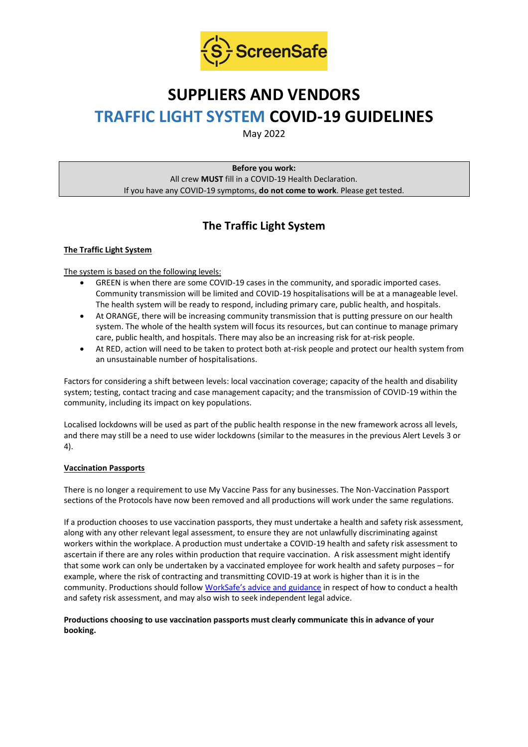

# **SUPPLIERS AND VENDORS TRAFFIC LIGHT SYSTEM COVID-19 GUIDELINES**

May 2022

**Before you work:** All crew **MUST** fill in a COVID-19 Health Declaration. If you have any COVID-19 symptoms, **do not come to work**. Please get tested.

## **The Traffic Light System**

#### **The Traffic Light System**

The system is based on the following levels:

- GREEN is when there are some COVID-19 cases in the community, and sporadic imported cases. Community transmission will be limited and COVID-19 hospitalisations will be at a manageable level. The health system will be ready to respond, including primary care, public health, and hospitals.
- At ORANGE, there will be increasing community transmission that is putting pressure on our health system. The whole of the health system will focus its resources, but can continue to manage primary care, public health, and hospitals. There may also be an increasing risk for at-risk people.
- At RED, action will need to be taken to protect both at-risk people and protect our health system from an unsustainable number of hospitalisations.

Factors for considering a shift between levels: local vaccination coverage; capacity of the health and disability system; testing, contact tracing and case management capacity; and the transmission of COVID-19 within the community, including its impact on key populations.

Localised lockdowns will be used as part of the public health response in the new framework across all levels, and there may still be a need to use wider lockdowns (similar to the measures in the previous Alert Levels 3 or 4).

#### **Vaccination Passports**

There is no longer a requirement to use My Vaccine Pass for any businesses. The Non-Vaccination Passport sections of the Protocols have now been removed and all productions will work under the same regulations.

If a production chooses to use vaccination passports, they must undertake a health and safety risk assessment, along with any other relevant legal assessment, to ensure they are not unlawfully discriminating against workers within the workplace. A production must undertake a COVID-19 health and safety risk assessment to ascertain if there are any roles within production that require vaccination. A risk assessment might identify that some work can only be undertaken by a vaccinated employee for work health and safety purposes – for example, where the risk of contracting and transmitting COVID-19 at work is higher than it is in the community. Productions should follow [WorkSafe's advice and guidance](https://www.worksafe.govt.nz/managing-health-and-safety/novel-coronavirus-covid/covid-19-controls-at-work/) in respect of how to conduct a health and safety risk assessment, and may also wish to seek independent legal advice.

#### **Productions choosing to use vaccination passports must clearly communicate this in advance of your booking.**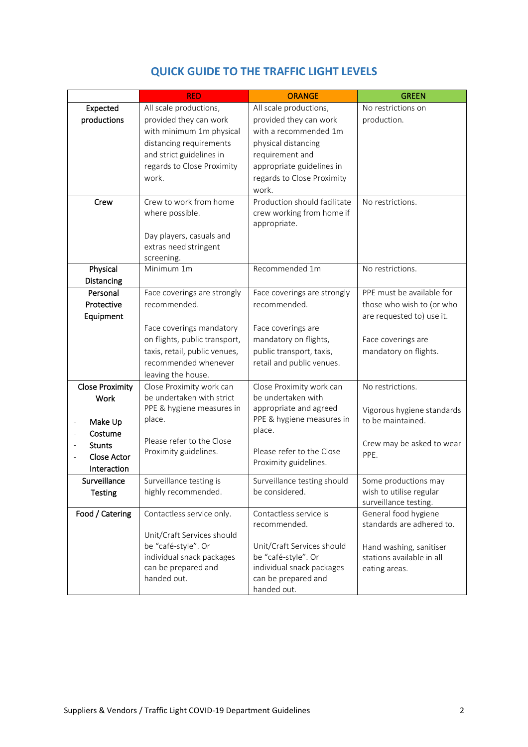|                                         | <b>RED</b>                    | <b>ORANGE</b>                | <b>GREEN</b>               |
|-----------------------------------------|-------------------------------|------------------------------|----------------------------|
| Expected                                | All scale productions,        | All scale productions,       | No restrictions on         |
| productions                             | provided they can work        | provided they can work       | production.                |
|                                         | with minimum 1m physical      | with a recommended 1m        |                            |
|                                         | distancing requirements       | physical distancing          |                            |
|                                         | and strict guidelines in      | requirement and              |                            |
|                                         | regards to Close Proximity    | appropriate guidelines in    |                            |
|                                         | work.                         | regards to Close Proximity   |                            |
|                                         |                               | work.                        |                            |
| Crew                                    | Crew to work from home        | Production should facilitate | No restrictions.           |
|                                         | where possible.               | crew working from home if    |                            |
|                                         |                               | appropriate.                 |                            |
|                                         | Day players, casuals and      |                              |                            |
|                                         | extras need stringent         |                              |                            |
|                                         | screening.                    |                              |                            |
| Physical                                | Minimum 1m                    | Recommended 1m               | No restrictions.           |
| Distancing                              |                               |                              |                            |
| Personal                                | Face coverings are strongly   | Face coverings are strongly  | PPE must be available for  |
| Protective                              | recommended.                  | recommended.                 | those who wish to (or who  |
| Equipment                               |                               |                              | are requested to) use it.  |
|                                         | Face coverings mandatory      | Face coverings are           |                            |
|                                         | on flights, public transport, | mandatory on flights,        | Face coverings are         |
|                                         | taxis, retail, public venues, | public transport, taxis,     | mandatory on flights.      |
|                                         | recommended whenever          | retail and public venues.    |                            |
|                                         | leaving the house.            |                              |                            |
| <b>Close Proximity</b>                  | Close Proximity work can      | Close Proximity work can     | No restrictions.           |
| <b>Work</b>                             | be undertaken with strict     | be undertaken with           |                            |
|                                         | PPE & hygiene measures in     | appropriate and agreed       | Vigorous hygiene standards |
| Make Up<br>$\qquad \qquad \blacksquare$ | place.                        | PPE & hygiene measures in    | to be maintained.          |
| Costume                                 |                               | place.                       |                            |
| <b>Stunts</b>                           | Please refer to the Close     |                              | Crew may be asked to wear  |
| <b>Close Actor</b>                      | Proximity guidelines.         | Please refer to the Close    | PPE.                       |
| Interaction                             |                               | Proximity guidelines.        |                            |
| Surveillance                            | Surveillance testing is       | Surveillance testing should  | Some productions may       |
| <b>Testing</b>                          | highly recommended.           | be considered.               | wish to utilise regular    |
|                                         |                               |                              | surveillance testing.      |
| Food / Catering                         | Contactless service only.     | Contactless service is       | General food hygiene       |
|                                         |                               | recommended.                 | standards are adhered to.  |
|                                         | Unit/Craft Services should    |                              |                            |
|                                         | be "café-style". Or           | Unit/Craft Services should   | Hand washing, sanitiser    |
|                                         | individual snack packages     | be "café-style". Or          | stations available in all  |
|                                         | can be prepared and           | individual snack packages    | eating areas.              |
|                                         | handed out.                   | can be prepared and          |                            |
|                                         |                               | handed out.                  |                            |

### **QUICK GUIDE TO THE TRAFFIC LIGHT LEVELS**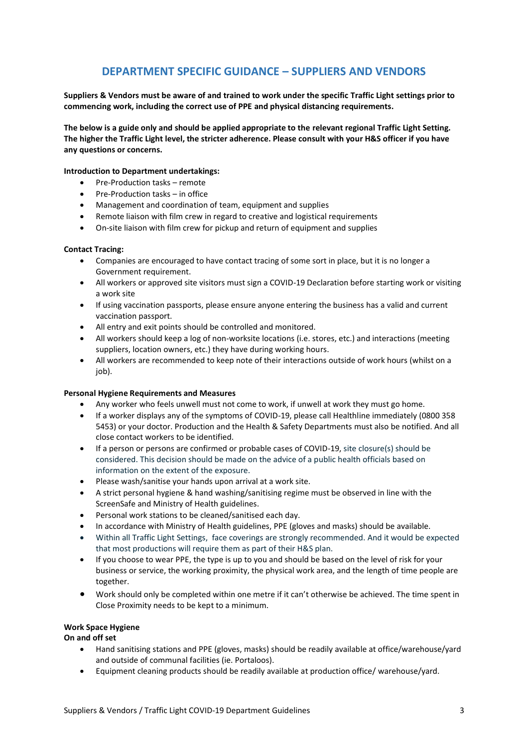### **DEPARTMENT SPECIFIC GUIDANCE – SUPPLIERS AND VENDORS**

**Suppliers & Vendors must be aware of and trained to work under the specific Traffic Light settings prior to commencing work, including the correct use of PPE and physical distancing requirements.**

**The below is a guide only and should be applied appropriate to the relevant regional Traffic Light Setting. The higher the Traffic Light level, the stricter adherence. Please consult with your H&S officer if you have any questions or concerns.**

#### **Introduction to Department undertakings:**

- Pre-Production tasks remote
- Pre-Production tasks in office
- Management and coordination of team, equipment and supplies
- Remote liaison with film crew in regard to creative and logistical requirements
- On-site liaison with film crew for pickup and return of equipment and supplies

#### **Contact Tracing:**

- Companies are encouraged to have contact tracing of some sort in place, but it is no longer a Government requirement.
- All workers or approved site visitors must sign a COVID-19 Declaration before starting work or visiting a work site
- If using vaccination passports, please ensure anyone entering the business has a valid and current vaccination passport.
- All entry and exit points should be controlled and monitored.
- All workers should keep a log of non-worksite locations (i.e. stores, etc.) and interactions (meeting suppliers, location owners, etc.) they have during working hours.
- All workers are recommended to keep note of their interactions outside of work hours (whilst on a job).

#### **Personal Hygiene Requirements and Measures**

- Any worker who feels unwell must not come to work, if unwell at work they must go home.
- If a worker displays any of the symptoms of COVID-19, please call Healthline immediately (0800 358 5453) or your doctor. Production and the Health & Safety Departments must also be notified. And all close contact workers to be identified.
- If a person or persons are confirmed or probable cases of COVID-19, site closure(s) should be considered. This decision should be made on the advice of a public health officials based on information on the extent of the exposure.
- Please wash/sanitise your hands upon arrival at a work site.
- A strict personal hygiene & hand washing/sanitising regime must be observed in line with the ScreenSafe and Ministry of Health guidelines.
- Personal work stations to be cleaned/sanitised each day.
- In accordance with Ministry of Health guidelines, PPE (gloves and masks) should be available.
- Within all Traffic Light Settings, face coverings are strongly recommended. And it would be expected that most productions will require them as part of their H&S plan.
- If you choose to wear PPE, the type is up to you and should be based on the level of risk for your business or service, the working proximity, the physical work area, and the length of time people are together.
- Work should only be completed within one metre if it can't otherwise be achieved. The time spent in Close Proximity needs to be kept to a minimum.

#### **Work Space Hygiene**

**On and off set**

- Hand sanitising stations and PPE (gloves, masks) should be readily available at office/warehouse/yard and outside of communal facilities (ie. Portaloos).
- Equipment cleaning products should be readily available at production office/ warehouse/yard.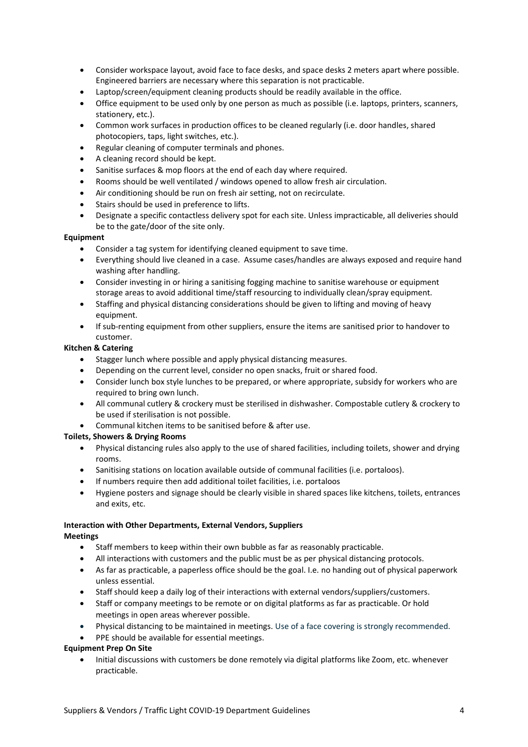- Consider workspace layout, avoid face to face desks, and space desks 2 meters apart where possible. Engineered barriers are necessary where this separation is not practicable.
- Laptop/screen/equipment cleaning products should be readily available in the office.
- Office equipment to be used only by one person as much as possible (i.e. laptops, printers, scanners, stationery, etc.).
- Common work surfaces in production offices to be cleaned regularly (i.e. door handles, shared photocopiers, taps, light switches, etc.).
- Regular cleaning of computer terminals and phones.
- A cleaning record should be kept.
- Sanitise surfaces & mop floors at the end of each day where required.
- Rooms should be well ventilated / windows opened to allow fresh air circulation.
- Air conditioning should be run on fresh air setting, not on recirculate.
- Stairs should be used in preference to lifts.
- Designate a specific contactless delivery spot for each site. Unless impracticable, all deliveries should be to the gate/door of the site only.

#### **Equipment**

- Consider a tag system for identifying cleaned equipment to save time.
- Everything should live cleaned in a case. Assume cases/handles are always exposed and require hand washing after handling.
- Consider investing in or hiring a sanitising fogging machine to sanitise warehouse or equipment storage areas to avoid additional time/staff resourcing to individually clean/spray equipment.
- Staffing and physical distancing considerations should be given to lifting and moving of heavy equipment.
- If sub-renting equipment from other suppliers, ensure the items are sanitised prior to handover to customer.

#### **Kitchen & Catering**

- Stagger lunch where possible and apply physical distancing measures.
- Depending on the current level, consider no open snacks, fruit or shared food.
- Consider lunch box style lunches to be prepared, or where appropriate, subsidy for workers who are required to bring own lunch.
- All communal cutlery & crockery must be sterilised in dishwasher. Compostable cutlery & crockery to be used if sterilisation is not possible.
- Communal kitchen items to be sanitised before & after use.

#### **Toilets, Showers & Drying Rooms**

- Physical distancing rules also apply to the use of shared facilities, including toilets, shower and drying rooms.
- Sanitising stations on location available outside of communal facilities (i.e. portaloos).
- If numbers require then add additional toilet facilities, i.e. portaloos
- Hygiene posters and signage should be clearly visible in shared spaces like kitchens, toilets, entrances and exits, etc.

### **Interaction with Other Departments, External Vendors, Suppliers**

#### **Meetings**

- Staff members to keep within their own bubble as far as reasonably practicable.
- All interactions with customers and the public must be as per physical distancing protocols.
- As far as practicable, a paperless office should be the goal. I.e. no handing out of physical paperwork unless essential.
- Staff should keep a daily log of their interactions with external vendors/suppliers/customers.
- Staff or company meetings to be remote or on digital platforms as far as practicable. Or hold meetings in open areas wherever possible.
- Physical distancing to be maintained in meetings. Use of a face covering is strongly recommended.
- PPE should be available for essential meetings.

#### **Equipment Prep On Site**

• Initial discussions with customers be done remotely via digital platforms like Zoom, etc. whenever practicable.